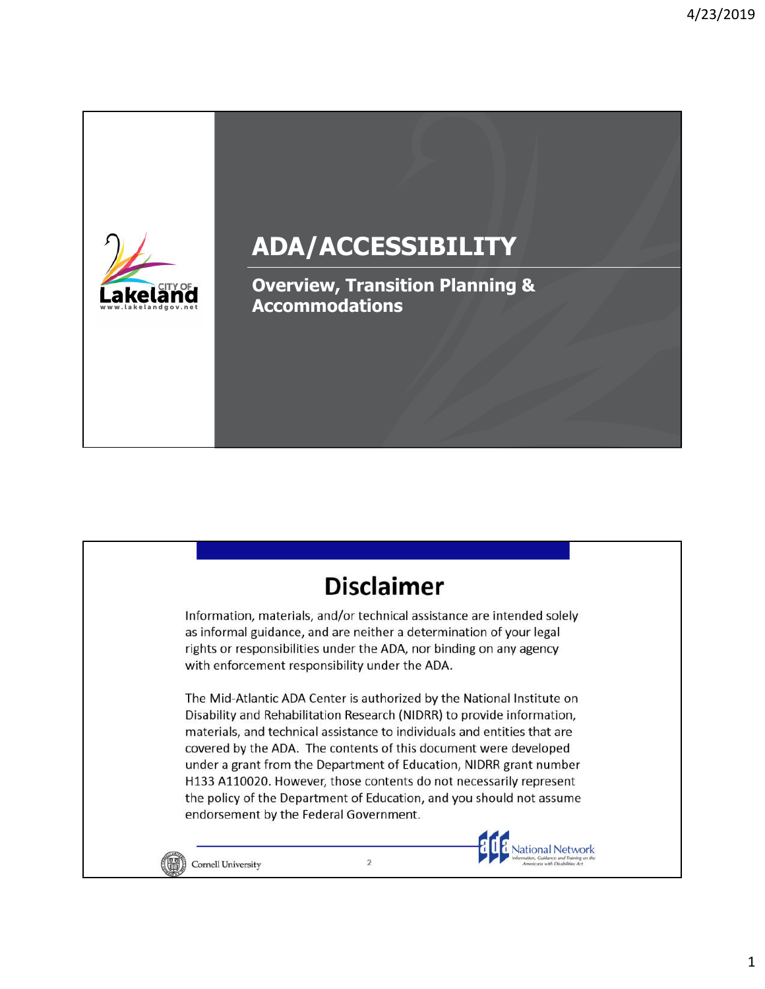

# **ADA/ACCESSIBILITY**

**Overview, Transition Planning & Accommodations** 

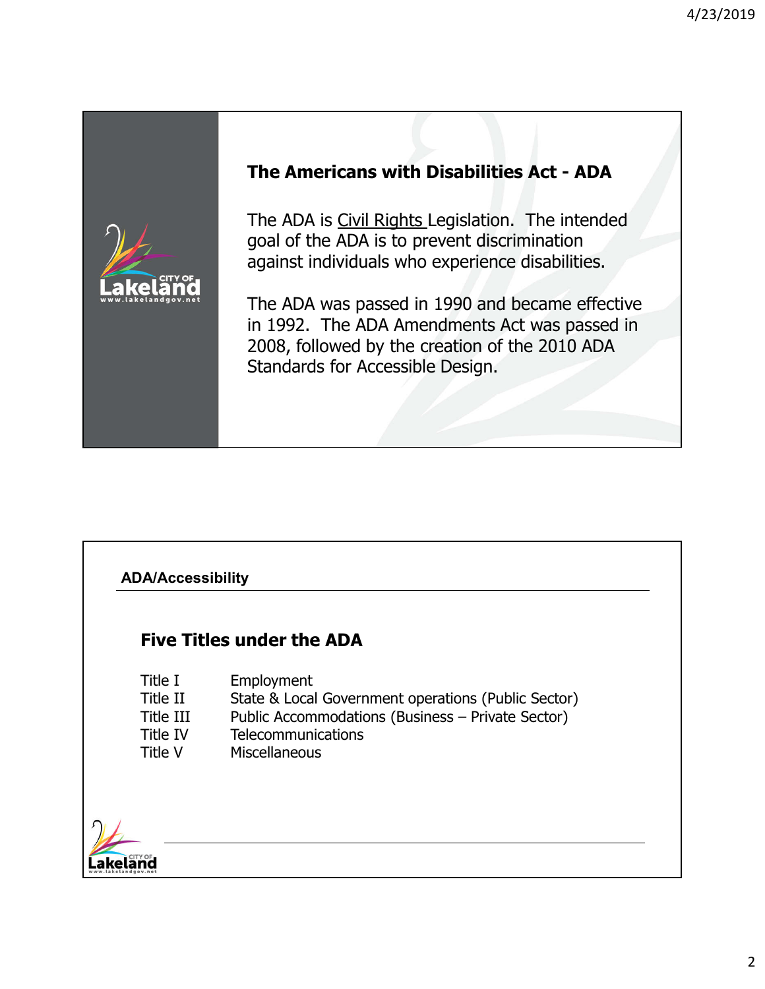

# **Five Titles under the ADA**

| Title I   | Employment                                          |
|-----------|-----------------------------------------------------|
| Title II  | State & Local Government operations (Public Sector) |
| Title III | Public Accommodations (Business - Private Sector)   |
| Title IV  | <b>Telecommunications</b>                           |
| Title V   | <b>Miscellaneous</b>                                |

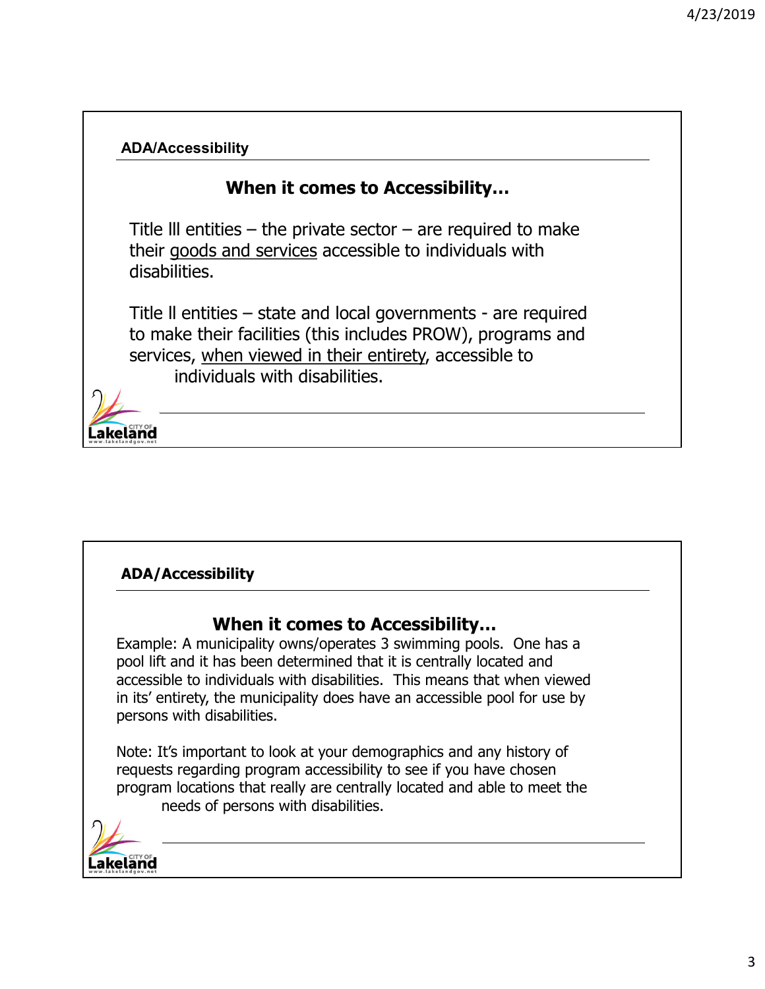

# **When it comes to Accessibility…**

Example: A municipality owns/operates 3 swimming pools. One has a pool lift and it has been determined that it is centrally located and accessible to individuals with disabilities. This means that when viewed in its' entirety, the municipality does have an accessible pool for use by persons with disabilities.

Note: It's important to look at your demographics and any history of requests regarding program accessibility to see if you have chosen program locations that really are centrally located and able to meet the needs of persons with disabilities.

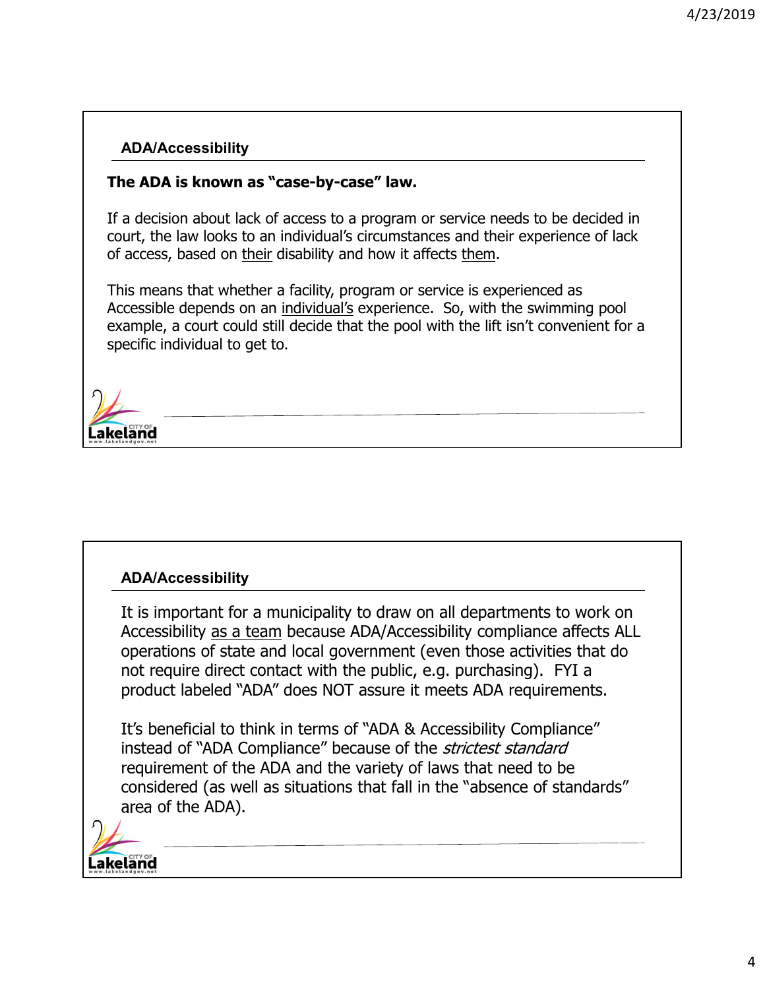#### **The ADA is known as "case-by-case" law.**

If a decision about lack of access to a program or service needs to be decided in court, the law looks to an individual's circumstances and their experience of lack of access, based on their disability and how it affects them.

This means that whether a facility, program or service is experienced as Accessible depends on an individual's experience. So, with the swimming pool example, a court could still decide that the pool with the lift isn't convenient for a specific individual to get to.



#### **ADA/Accessibility**

It is important for a municipality to draw on all departments to work on Accessibility as a team because ADA/Accessibility compliance affects ALL operations of state and local government (even those activities that do not require direct contact with the public, e.g. purchasing). FYI a product labeled "ADA" does NOT assure it meets ADA requirements.

considered (as well as situations that fall in the "absence of standards" considered (as well as situations that **dica of the ADA).**  $\blacksquare$ It's beneficial to think in terms of "ADA & Accessibility Compliance" instead of "ADA Compliance" because of the *strictest standard* requirement of the ADA and the variety of laws that need to be area of the ADA).

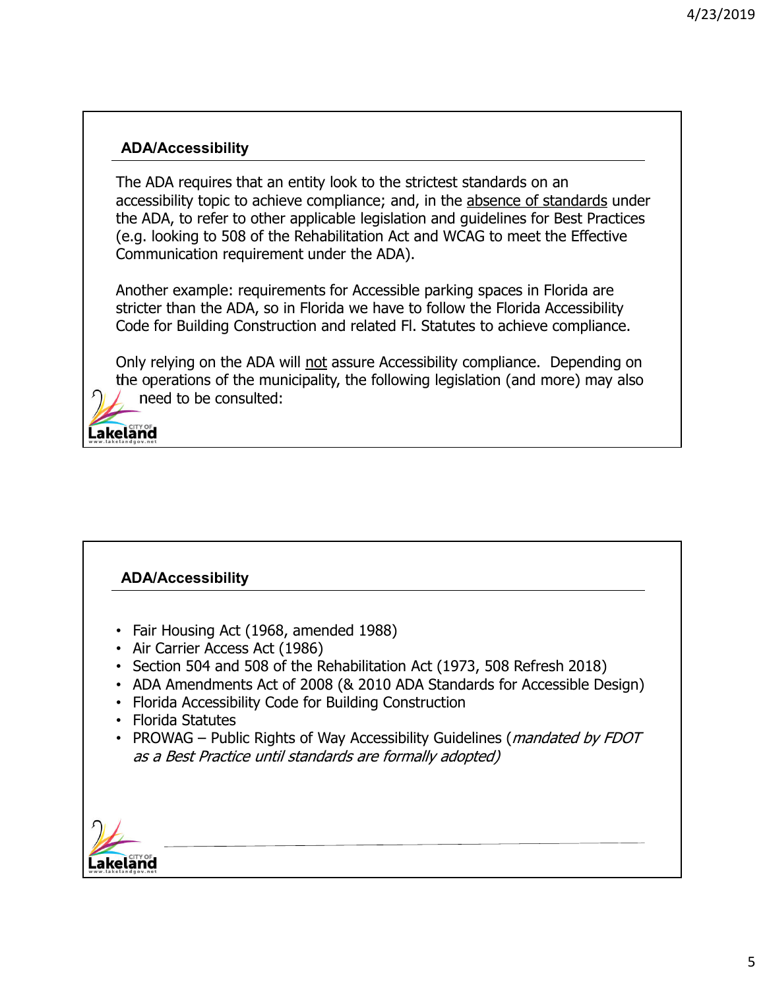The ADA requires that an entity look to the strictest standards on an accessibility topic to achieve compliance; and, in the absence of standards under the ADA, to refer to other applicable legislation and guidelines for Best Practices (e.g. looking to 508 of the Rehabilitation Act and WCAG to meet the Effective Communication requirement under the ADA).

Another example: requirements for Accessible parking spaces in Florida are stricter than the ADA, so in Florida we have to follow the Florida Accessibility Code for Building Construction and related Fl. Statutes to achieve compliance.

Only relying on the ADA will not assure Accessibility compliance. Depending on the operations of the municipality, the following legislation (and more) may also need to be consulted:

akeland.

#### **ADA/Accessibility**

- Fair Housing Act (1968, amended 1988)
- Air Carrier Access Act (1986)
- Section 504 and 508 of the Rehabilitation Act (1973, 508 Refresh 2018)
- ADA Amendments Act of 2008 (& 2010 ADA Standards for Accessible Design)
- Florida Accessibility Code for Building Construction
- Florida Statutes
- PROWAG Public Rights of Way Accessibility Guidelines (*mandated by FDOT* as a Best Practice until standards are formally adopted)

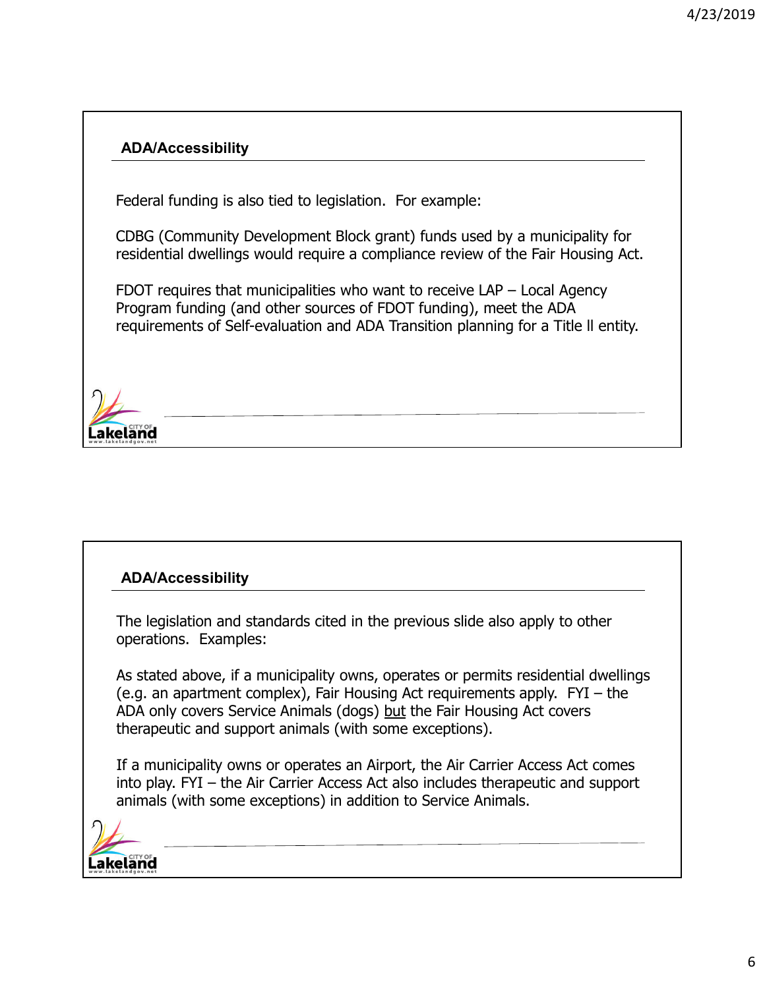Federal funding is also tied to legislation. For example:

CDBG (Community Development Block grant) funds used by a municipality for residential dwellings would require a compliance review of the Fair Housing Act.

FDOT requires that municipalities who want to receive LAP – Local Agency Program funding (and other sources of FDOT funding), meet the ADA requirements of Self-evaluation and ADA Transition planning for a Title ll entity.



#### **ADA/Accessibility**

The legislation and standards cited in the previous slide also apply to other operations. Examples:

As stated above, if a municipality owns, operates or permits residential dwellings (e.g. an apartment complex), Fair Housing Act requirements apply. FYI – the ADA only covers Service Animals (dogs) but the Fair Housing Act covers therapeutic and support animals (with some exceptions).

If a municipality owns or operates an Airport, the Air Carrier Access Act comes into play. FYI – the Air Carrier Access Act also includes therapeutic and support animals (with some exceptions) in addition to Service Animals.

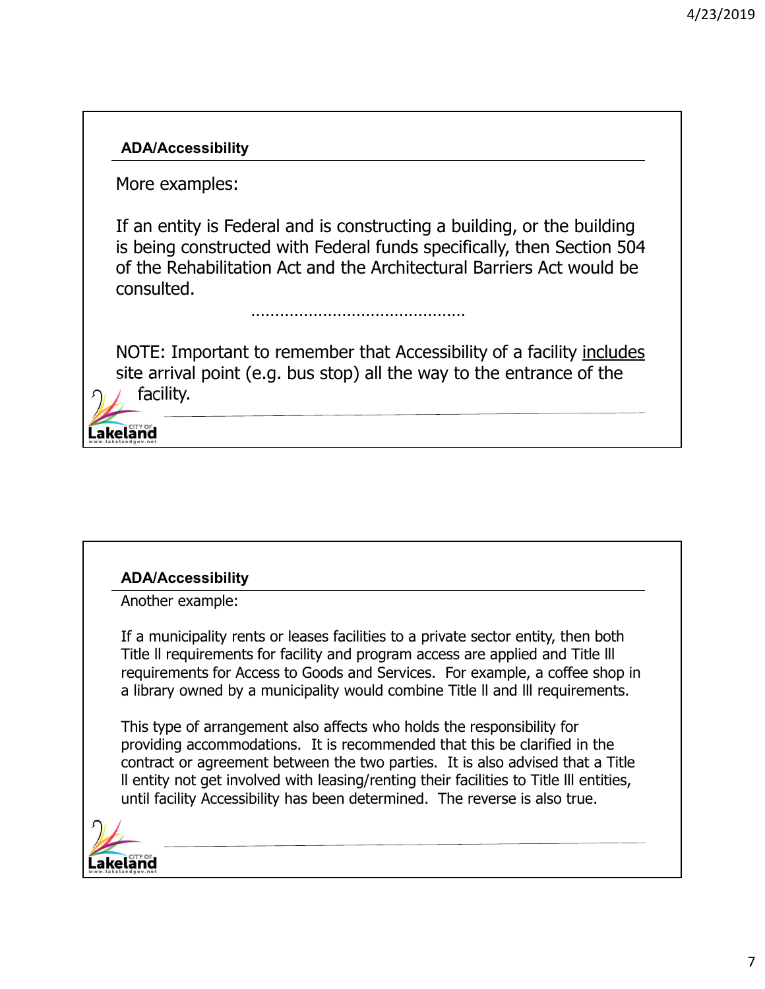More examples:

If an entity is Federal and is constructing a building, or the building is being constructed with Federal funds specifically, then Section 504 of the Rehabilitation Act and the Architectural Barriers Act would be consulted.

………………………………………

NOTE: Important to remember that Accessibility of a facility includes site arrival point (e.g. bus stop) all the way to the entrance of the facility.

akeland

#### **ADA/Accessibility**

Another example:

If a municipality rents or leases facilities to a private sector entity, then both Title ll requirements for facility and program access are applied and Title lll requirements for Access to Goods and Services. For example, a coffee shop in a library owned by a municipality would combine Title ll and lll requirements.

This type of arrangement also affects who holds the responsibility for providing accommodations. It is recommended that this be clarified in the contract or agreement between the two parties. It is also advised that a Title ll entity not get involved with leasing/renting their facilities to Title lll entities, until facility Accessibility has been determined. The reverse is also true.

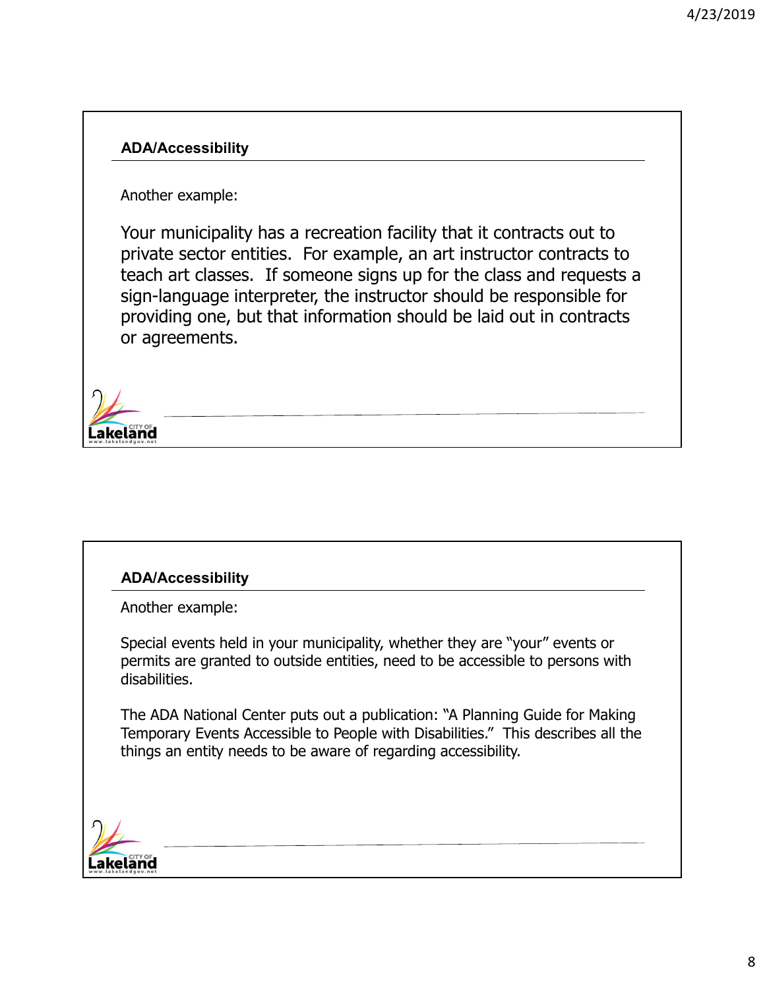Another example:

Your municipality has a recreation facility that it contracts out to private sector entities. For example, an art instructor contracts to teach art classes. If someone signs up for the class and requests a sign-language interpreter, the instructor should be responsible for providing one, but that information should be laid out in contracts or agreements.



#### **ADA/Accessibility**

Another example:

Special events held in your municipality, whether they are "your" events or permits are granted to outside entities, need to be accessible to persons with disabilities.

The ADA National Center puts out a publication: "A Planning Guide for Making Temporary Events Accessible to People with Disabilities." This describes all the things an entity needs to be aware of regarding accessibility.

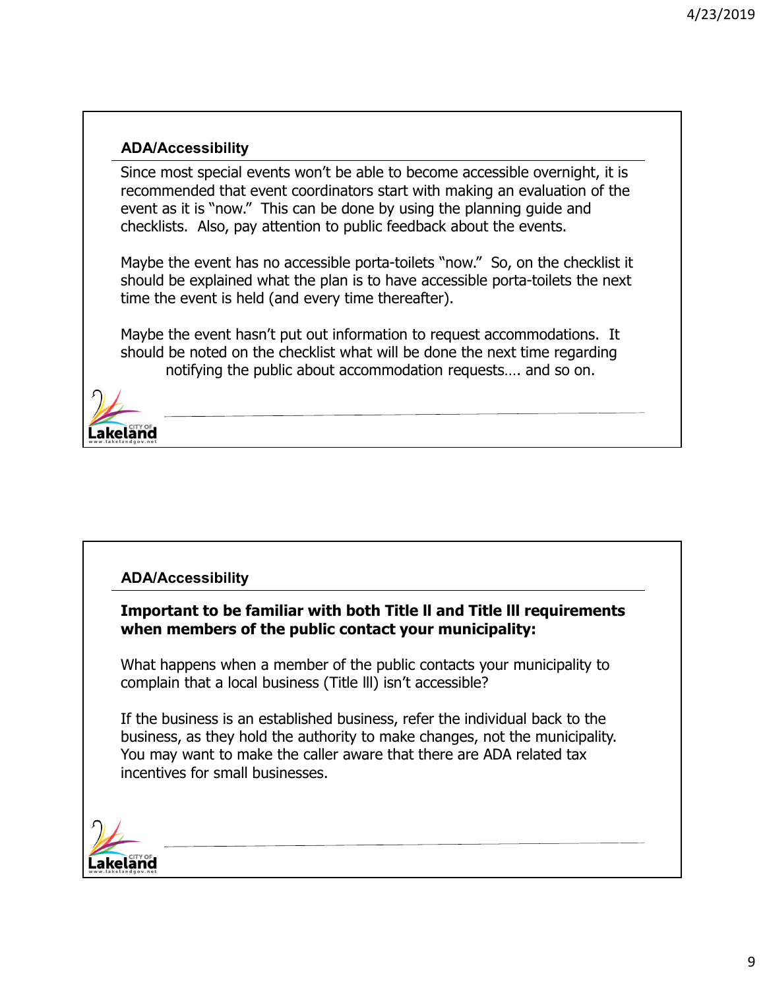Since most special events won't be able to become accessible overnight, it is recommended that event coordinators start with making an evaluation of the event as it is "now." This can be done by using the planning guide and checklists. Also, pay attention to public feedback about the events.

Maybe the event has no accessible porta-toilets "now." So, on the checklist it should be explained what the plan is to have accessible porta-toilets the next time the event is held (and every time thereafter).

Maybe the event hasn't put out information to request accommodations. It should be noted on the checklist what will be done the next time regarding notifying the public about accommodation requests…. and so on.



#### **ADA/Accessibility**

**Important to be familiar with both Title ll and Title lll requirements when members of the public contact your municipality:**

What happens when a member of the public contacts your municipality to complain that a local business (Title lll) isn't accessible?

If the business is an established business, refer the individual back to the business, as they hold the authority to make changes, not the municipality. You may want to make the caller aware that there are ADA related tax incentives for small businesses.

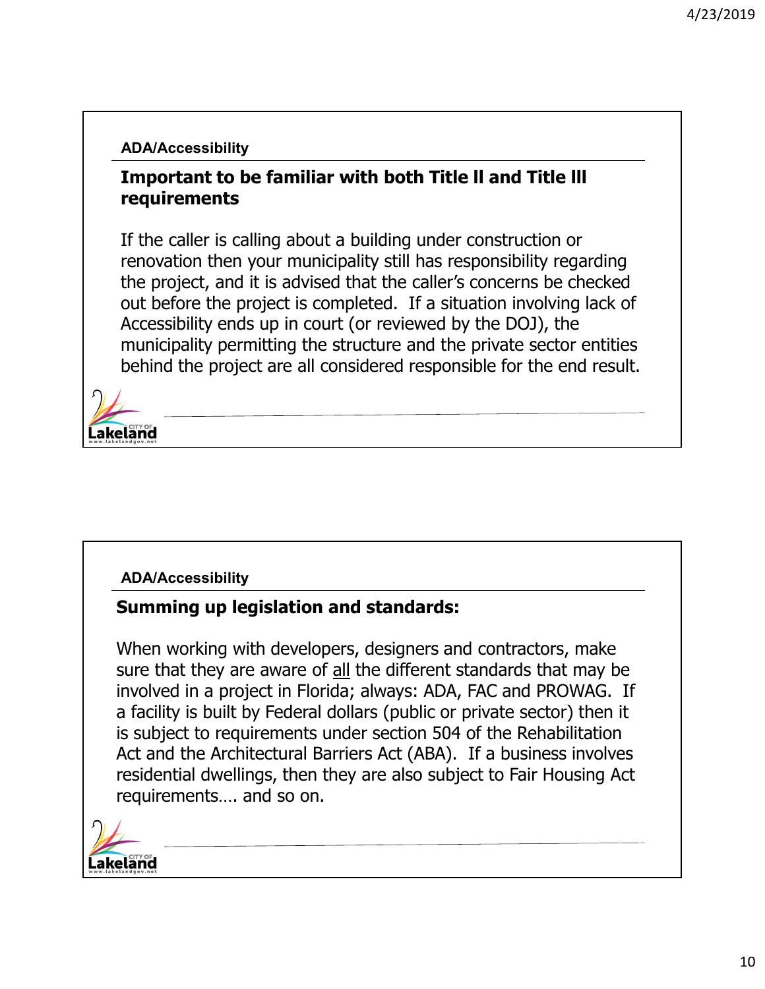## **Important to be familiar with both Title ll and Title lll requirements**

If the caller is calling about a building under construction or renovation then your municipality still has responsibility regarding the project, and it is advised that the caller's concerns be checked out before the project is completed. If a situation involving lack of Accessibility ends up in court (or reviewed by the DOJ), the municipality permitting the structure and the private sector entities behind the project are all considered responsible for the end result.



#### **ADA/Accessibility**

#### **Summing up legislation and standards:**

When working with developers, designers and contractors, make sure that they are aware of all the different standards that may be involved in a project in Florida; always: ADA, FAC and PROWAG. If a facility is built by Federal dollars (public or private sector) then it is subject to requirements under section 504 of the Rehabilitation Act and the Architectural Barriers Act (ABA). If a business involves residential dwellings, then they are also subject to Fair Housing Act requirements…. and so on.

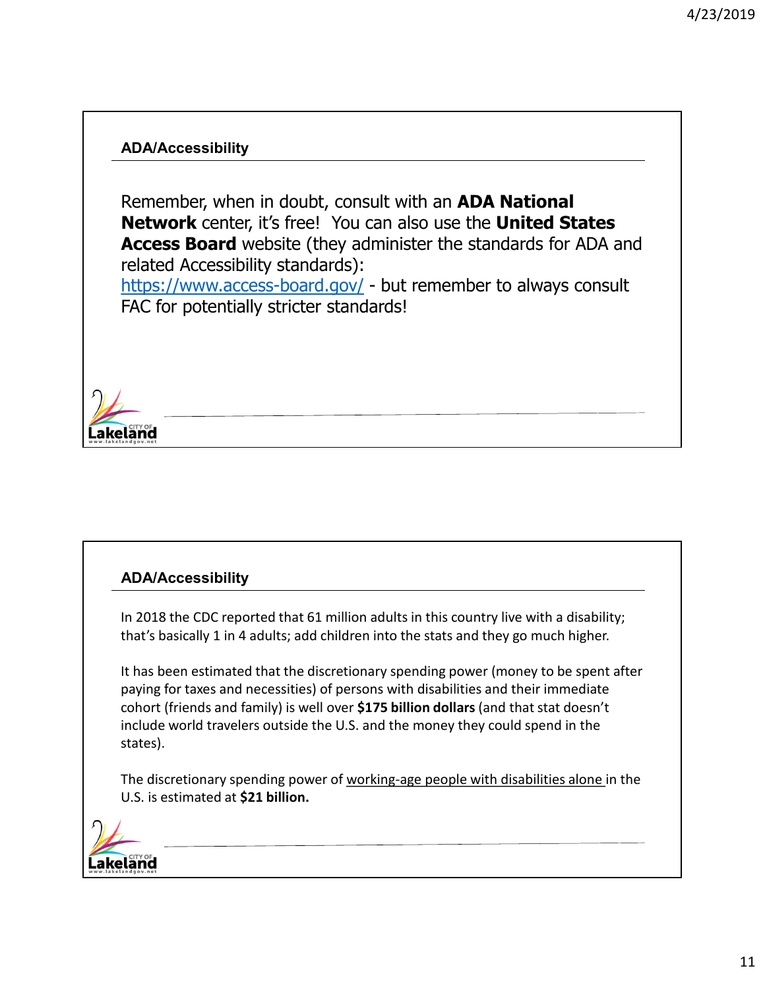Remember, when in doubt, consult with an **ADA National Network** center, it's free! You can also use the **United States Access Board** website (they administer the standards for ADA and related Accessibility standards): https://www.access-board.gov/ - but remember to always consult FAC for potentially stricter standards!



#### **ADA/Accessibility**

In 2018 the CDC reported that 61 million adults in this country live with a disability; that's basically 1 in 4 adults; add children into the stats and they go much higher.

It has been estimated that the discretionary spending power (money to be spent after paying for taxes and necessities) of persons with disabilities and their immediate cohort (friends and family) is well over **\$175 billion dollars** (and that stat doesn't include world travelers outside the U.S. and the money they could spend in the states).

The discretionary spending power of working-age people with disabilities alone in the U.S. is estimated at **\$21 billion.**

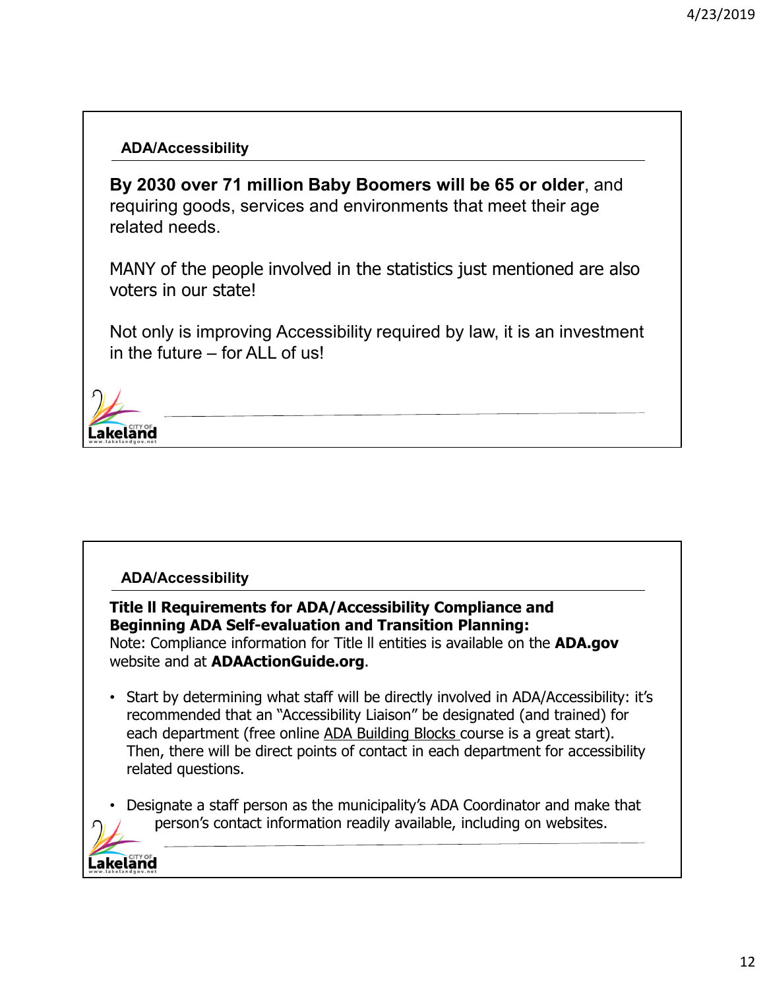**By 2030 over 71 million Baby Boomers will be 65 or older**, and requiring goods, services and environments that meet their age related needs.

MANY of the people involved in the statistics just mentioned are also voters in our state!

Not only is improving Accessibility required by law, it is an investment in the future – for ALL of us!



#### **ADA/Accessibility**

**Title ll Requirements for ADA/Accessibility Compliance and Beginning ADA Self-evaluation and Transition Planning:**

Note: Compliance information for Title ll entities is available on the **ADA.gov**  website and at **ADAActionGuide.org**.

- Start by determining what staff will be directly involved in ADA/Accessibility: it's recommended that an "Accessibility Liaison" be designated (and trained) for each department (free online ADA Building Blocks course is a great start). Then, there will be direct points of contact in each department for accessibility related questions.
- Designate a staff person as the municipality's ADA Coordinator and make that person's contact information readily available, including on websites.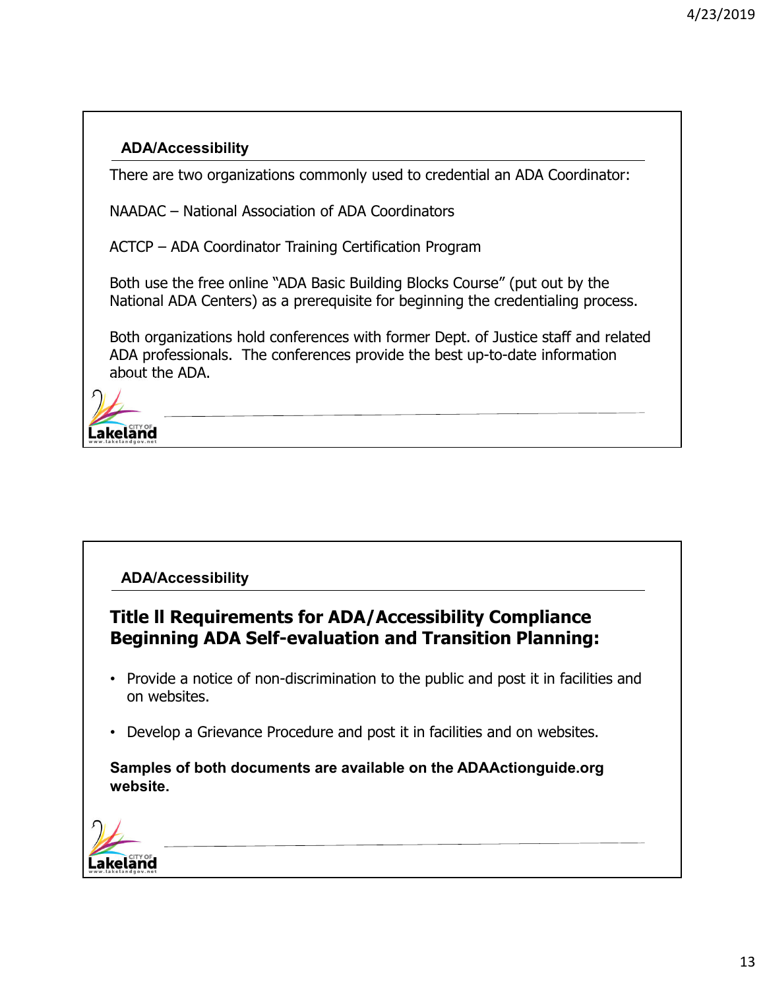There are two organizations commonly used to credential an ADA Coordinator:

NAADAC – National Association of ADA Coordinators

ACTCP – ADA Coordinator Training Certification Program

Both use the free online "ADA Basic Building Blocks Course" (put out by the National ADA Centers) as a prerequisite for beginning the credentialing process.

Both organizations hold conferences with former Dept. of Justice staff and related ADA professionals. The conferences provide the best up-to-date information about the ADA.



#### **ADA/Accessibility**

# **Title ll Requirements for ADA/Accessibility Compliance Beginning ADA Self-evaluation and Transition Planning:**

- Provide a notice of non-discrimination to the public and post it in facilities and on websites.
- Develop a Grievance Procedure and post it in facilities and on websites.

**Samples of both documents are available on the ADAActionguide.org website.**

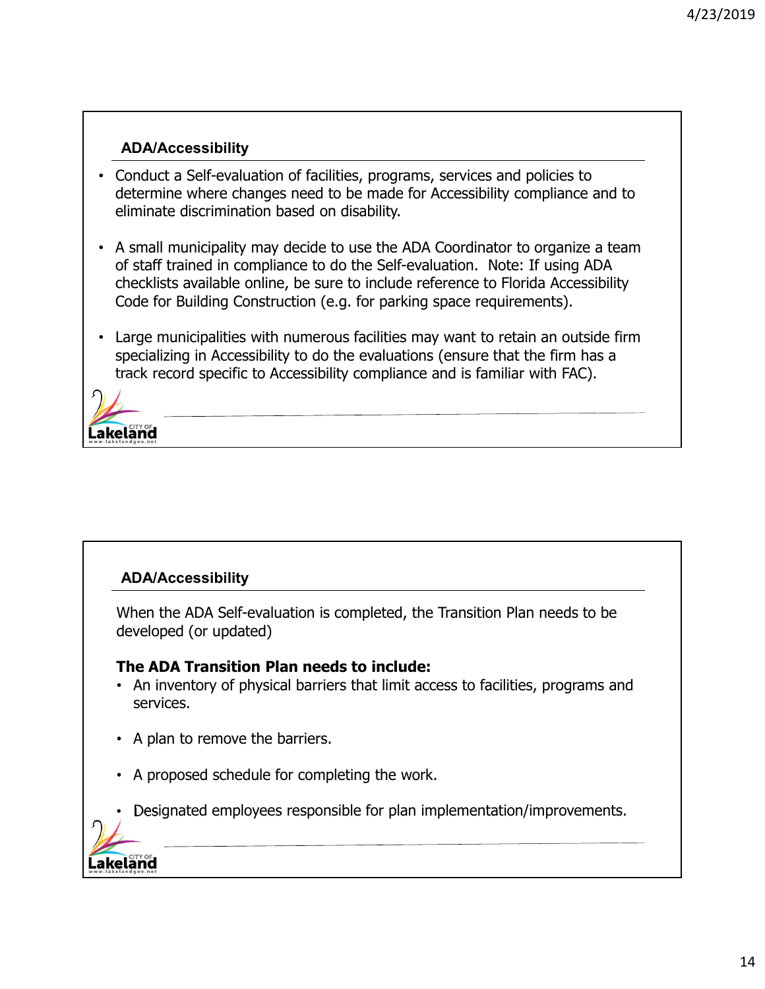- Conduct a Self-evaluation of facilities, programs, services and policies to determine where changes need to be made for Accessibility compliance and to eliminate discrimination based on disability.
- A small municipality may decide to use the ADA Coordinator to organize a team of staff trained in compliance to do the Self-evaluation. Note: If using ADA checklists available online, be sure to include reference to Florida Accessibility Code for Building Construction (e.g. for parking space requirements).
- Large municipalities with numerous facilities may want to retain an outside firm specializing in Accessibility to do the evaluations (ensure that the firm has a track record specific to Accessibility compliance and is familiar with FAC).



#### **ADA/Accessibility**

.akeland

When the ADA Self-evaluation is completed, the Transition Plan needs to be developed (or updated)

#### **The ADA Transition Plan needs to include:**

- An inventory of physical barriers that limit access to facilities, programs and services.
- A plan to remove the barriers.
- A proposed schedule for completing the work.
- Designated employees responsible for plan implementation/improvements.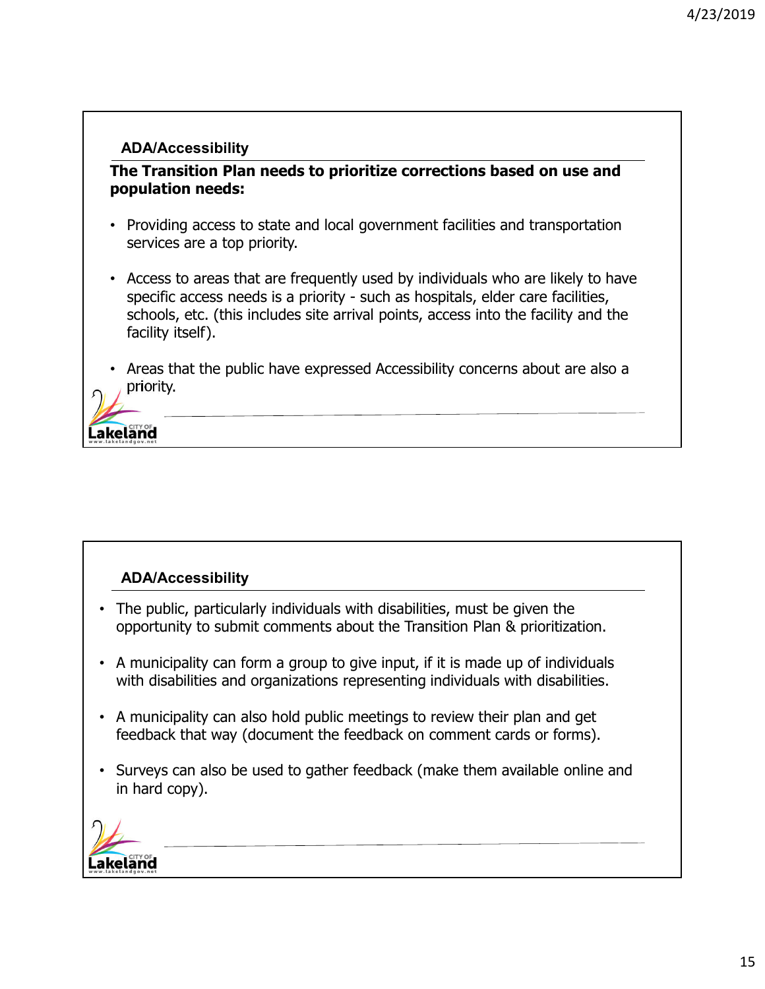**The Transition Plan needs to prioritize corrections based on use and population needs:**

- Providing access to state and local government facilities and transportation services are a top priority.
- Access to areas that are frequently used by individuals who are likely to have specific access needs is a priority - such as hospitals, elder care facilities, schools, etc. (this includes site arrival points, access into the facility and the facility itself).
- Areas that the public have expressed Accessibility concerns about are also a priority.

akeland

#### **ADA/Accessibility**

- The public, particularly individuals with disabilities, must be given the opportunity to submit comments about the Transition Plan & prioritization.
- A municipality can form a group to give input, if it is made up of individuals with disabilities and organizations representing individuals with disabilities.
- A municipality can also hold public meetings to review their plan and get feedback that way (document the feedback on comment cards or forms).
- Surveys can also be used to gather feedback (make them available online and in hard copy).

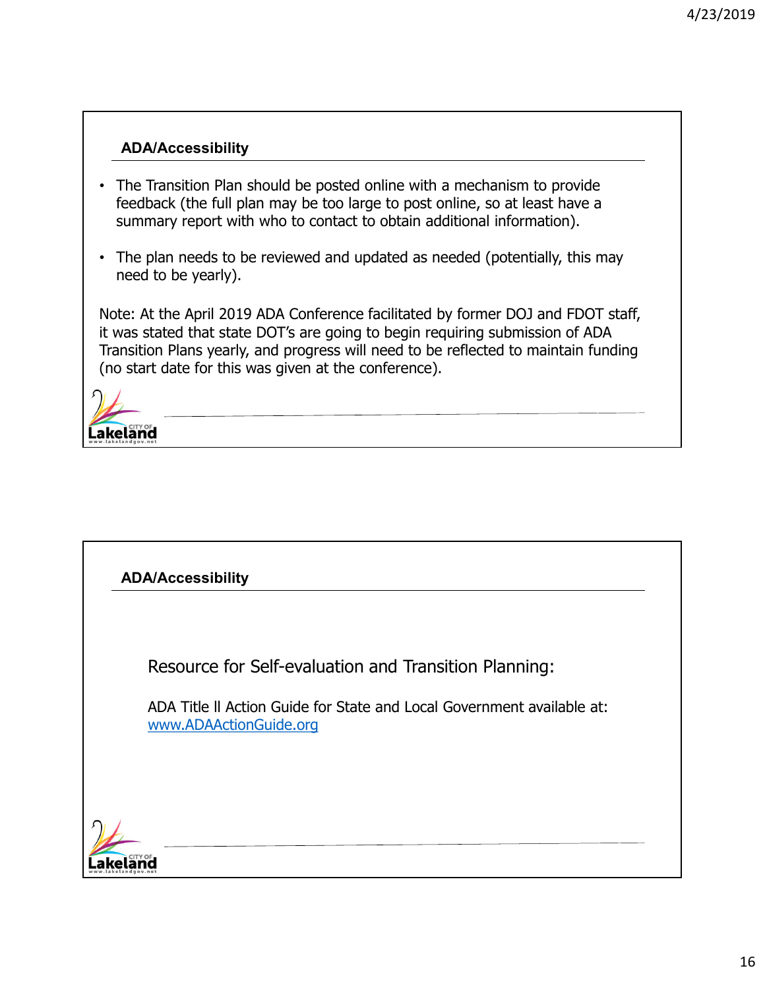- The Transition Plan should be posted online with a mechanism to provide feedback (the full plan may be too large to post online, so at least have a summary report with who to contact to obtain additional information).
- The plan needs to be reviewed and updated as needed (potentially, this may need to be yearly).

Note: At the April 2019 ADA Conference facilitated by former DOJ and FDOT staff, it was stated that state DOT's are going to begin requiring submission of ADA Transition Plans yearly, and progress will need to be reflected to maintain funding (no start date for this was given at the conference).



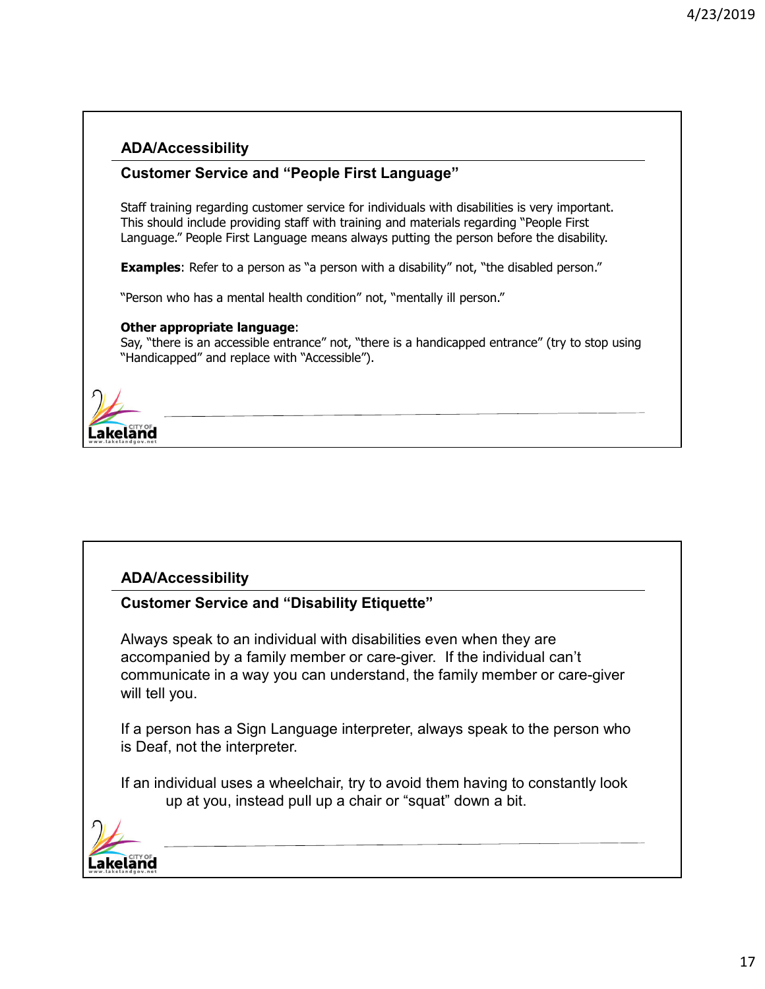#### **Customer Service and "People First Language"**

Staff training regarding customer service for individuals with disabilities is very important. This should include providing staff with training and materials regarding "People First Language." People First Language means always putting the person before the disability.

**Examples**: Refer to a person as "a person with a disability" not, "the disabled person."

"Person who has a mental health condition" not, "mentally ill person."

#### **Other appropriate language**:

Say, "there is an accessible entrance" not, "there is a handicapped entrance" (try to stop using "Handicapped" and replace with "Accessible").



#### **ADA/Accessibility**

#### **Customer Service and "Disability Etiquette"**

Always speak to an individual with disabilities even when they are accompanied by a family member or care-giver. If the individual can't communicate in a way you can understand, the family member or care-giver will tell you.

If a person has a Sign Language interpreter, always speak to the person who is Deaf, not the interpreter.

If an individual uses a wheelchair, try to avoid them having to constantly look up at you, instead pull up a chair or "squat" down a bit.

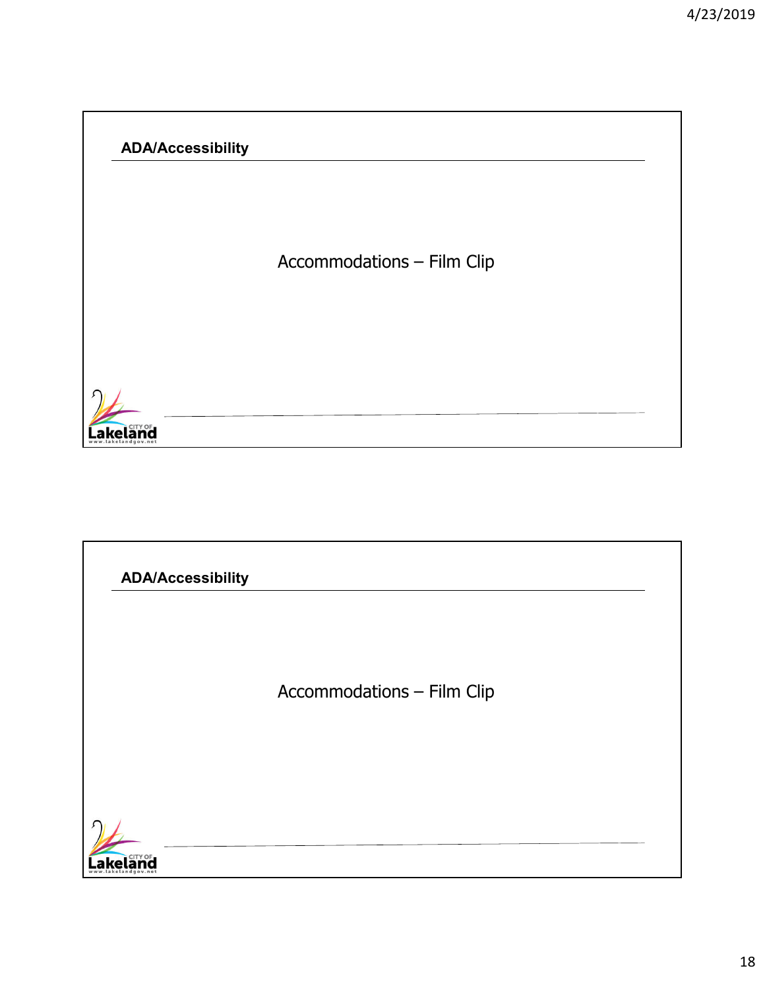Accommodations – Film Clip



# **ADA/Accessibility**Accommodations – Film Clip **Lakeland**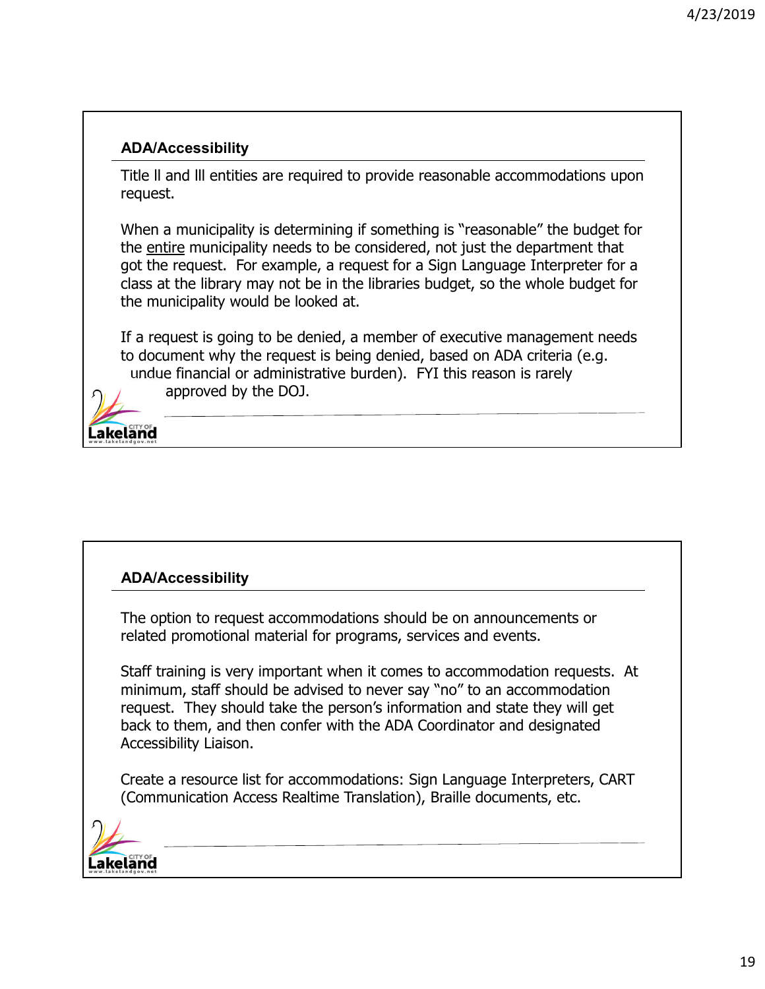Title ll and lll entities are required to provide reasonable accommodations upon request.

When a municipality is determining if something is "reasonable" the budget for the entire municipality needs to be considered, not just the department that got the request. For example, a request for a Sign Language Interpreter for a class at the library may not be in the libraries budget, so the whole budget for the municipality would be looked at.

If a request is going to be denied, a member of executive management needs to document why the request is being denied, based on ADA criteria (e.g. undue financial or administrative burden). FYI this reason is rarely approved by the DOJ.



#### **ADA/Accessibility**

The option to request accommodations should be on announcements or related promotional material for programs, services and events.

Staff training is very important when it comes to accommodation requests. At minimum, staff should be advised to never say "no" to an accommodation request. They should take the person's information and state they will get back to them, and then confer with the ADA Coordinator and designated Accessibility Liaison.

Create a resource list for accommodations: Sign Language Interpreters, CART (Communication Access Realtime Translation), Braille documents, etc.

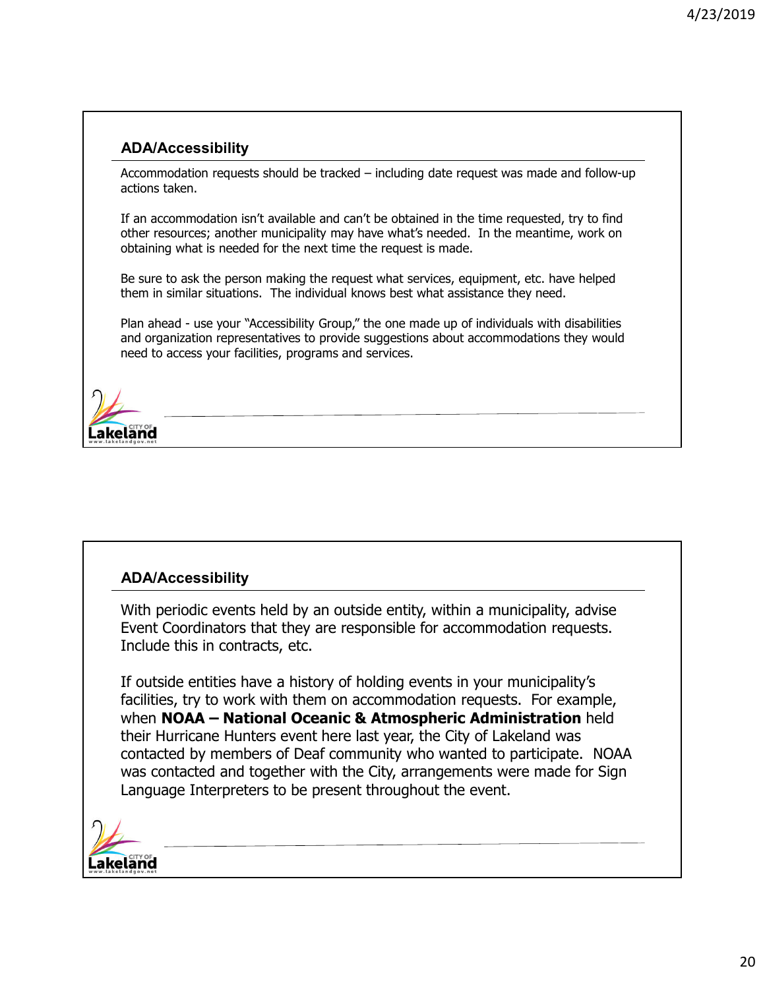Accommodation requests should be tracked – including date request was made and follow-up actions taken.

If an accommodation isn't available and can't be obtained in the time requested, try to find other resources; another municipality may have what's needed. In the meantime, work on obtaining what is needed for the next time the request is made.

Be sure to ask the person making the request what services, equipment, etc. have helped them in similar situations. The individual knows best what assistance they need.

Plan ahead - use your "Accessibility Group," the one made up of individuals with disabilities and organization representatives to provide suggestions about accommodations they would need to access your facilities, programs and services.



#### **ADA/Accessibility**

With periodic events held by an outside entity, within a municipality, advise Event Coordinators that they are responsible for accommodation requests. Include this in contracts, etc.

If outside entities have a history of holding events in your municipality's facilities, try to work with them on accommodation requests. For example, when **NOAA – National Oceanic & Atmospheric Administration** held their Hurricane Hunters event here last year, the City of Lakeland was contacted by members of Deaf community who wanted to participate. NOAA was contacted and together with the City, arrangements were made for Sign Language Interpreters to be present throughout the event.